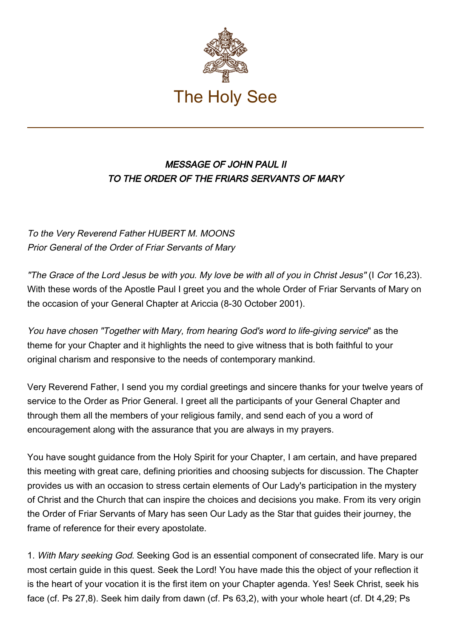

## MESSAGE OF JOHN PAUL II TO THE ORDER OF THE FRIARS SERVANTS OF MARY

To the Very Reverend Father HUBERT M. MOONS Prior General of the Order of Friar Servants of Mary

"The Grace of the Lord Jesus be with you. My love be with all of you in Christ Jesus" (I Cor 16,23). With these words of the Apostle Paul I greet you and the whole Order of Friar Servants of Mary on the occasion of your General Chapter at Ariccia (8-30 October 2001).

You have chosen "Together with Mary, from hearing God's word to life-giving service" as the theme for your Chapter and it highlights the need to give witness that is both faithful to your original charism and responsive to the needs of contemporary mankind.

Very Reverend Father, I send you my cordial greetings and sincere thanks for your twelve years of service to the Order as Prior General. I greet all the participants of your General Chapter and through them all the members of your religious family, and send each of you a word of encouragement along with the assurance that you are always in my prayers.

You have sought guidance from the Holy Spirit for your Chapter, I am certain, and have prepared this meeting with great care, defining priorities and choosing subjects for discussion. The Chapter provides us with an occasion to stress certain elements of Our Lady's participation in the mystery of Christ and the Church that can inspire the choices and decisions you make. From its very origin the Order of Friar Servants of Mary has seen Our Lady as the Star that guides their journey, the frame of reference for their every apostolate.

1. With Mary seeking God. Seeking God is an essential component of consecrated life. Mary is our most certain guide in this quest. Seek the Lord! You have made this the object of your reflection it is the heart of your vocation it is the first item on your Chapter agenda. Yes! Seek Christ, seek his face (cf. Ps 27,8). Seek him daily from dawn (cf. Ps 63,2), with your whole heart (cf. Dt 4,29; Ps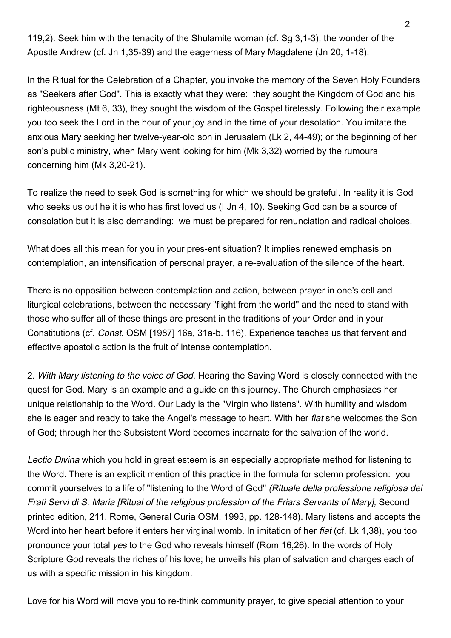119,2). Seek him with the tenacity of the Shulamite woman (cf. Sg 3,1-3), the wonder of the Apostle Andrew (cf. Jn 1,35-39) and the eagerness of Mary Magdalene (Jn 20, 1-18).

In the Ritual for the Celebration of a Chapter, you invoke the memory of the Seven Holy Founders as "Seekers after God". This is exactly what they were: they sought the Kingdom of God and his righteousness (Mt 6, 33), they sought the wisdom of the Gospel tirelessly. Following their example you too seek the Lord in the hour of your joy and in the time of your desolation. You imitate the anxious Mary seeking her twelve-year-old son in Jerusalem (Lk 2, 44-49); or the beginning of her son's public ministry, when Mary went looking for him (Mk 3,32) worried by the rumours concerning him (Mk 3,20-21).

To realize the need to seek God is something for which we should be grateful. In reality it is God who seeks us out he it is who has first loved us (I Jn 4, 10). Seeking God can be a source of consolation but it is also demanding: we must be prepared for renunciation and radical choices.

What does all this mean for you in your pres-ent situation? It implies renewed emphasis on contemplation, an intensification of personal prayer, a re-evaluation of the silence of the heart.

There is no opposition between contemplation and action, between prayer in one's cell and liturgical celebrations, between the necessary "flight from the world" and the need to stand with those who suffer all of these things are present in the traditions of your Order and in your Constitutions (cf. Const. OSM [1987] 16a, 31a-b. 116). Experience teaches us that fervent and effective apostolic action is the fruit of intense contemplation.

2. With Mary listening to the voice of God. Hearing the Saving Word is closely connected with the quest for God. Mary is an example and a guide on this journey. The Church emphasizes her unique relationship to the Word. Our Lady is the "Virgin who listens". With humility and wisdom she is eager and ready to take the Angel's message to heart. With her fiat she welcomes the Son of God; through her the Subsistent Word becomes incarnate for the salvation of the world.

Lectio Divina which you hold in great esteem is an especially appropriate method for listening to the Word. There is an explicit mention of this practice in the formula for solemn profession: you commit yourselves to a life of "listening to the Word of God" (Rituale della professione religiosa dei Frati Servi di S. Maria [Ritual of the religious profession of the Friars Servants of Mary], Second printed edition, 211, Rome, General Curia OSM, 1993, pp. 128-148). Mary listens and accepts the Word into her heart before it enters her virginal womb. In imitation of her fiat (cf. Lk 1,38), you too pronounce your total yes to the God who reveals himself (Rom 16,26). In the words of Holy Scripture God reveals the riches of his love; he unveils his plan of salvation and charges each of us with a specific mission in his kingdom.

Love for his Word will move you to re-think community prayer, to give special attention to your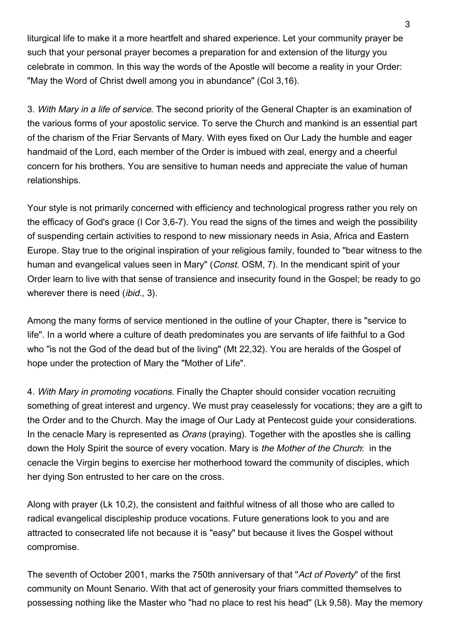liturgical life to make it a more heartfelt and shared experience. Let your community prayer be such that your personal prayer becomes a preparation for and extension of the liturgy you celebrate in common. In this way the words of the Apostle will become a reality in your Order: "May the Word of Christ dwell among you in abundance" (Col 3,16).

3. With Mary in a life of service. The second priority of the General Chapter is an examination of the various forms of your apostolic service. To serve the Church and mankind is an essential part of the charism of the Friar Servants of Mary. With eyes fixed on Our Lady the humble and eager handmaid of the Lord, each member of the Order is imbued with zeal, energy and a cheerful concern for his brothers. You are sensitive to human needs and appreciate the value of human relationships.

Your style is not primarily concerned with efficiency and technological progress rather you rely on the efficacy of God's grace (I Cor 3,6-7). You read the signs of the times and weigh the possibility of suspending certain activities to respond to new missionary needs in Asia, Africa and Eastern Europe. Stay true to the original inspiration of your religious family, founded to "bear witness to the human and evangelical values seen in Mary" (Const. OSM, 7). In the mendicant spirit of your Order learn to live with that sense of transience and insecurity found in the Gospel; be ready to go wherever there is need *(ibid., 3)*.

Among the many forms of service mentioned in the outline of your Chapter, there is "service to life". In a world where a culture of death predominates you are servants of life faithful to a God who "is not the God of the dead but of the living" (Mt 22,32). You are heralds of the Gospel of hope under the protection of Mary the "Mother of Life".

4. With Mary in promoting vocations. Finally the Chapter should consider vocation recruiting something of great interest and urgency. We must pray ceaselessly for vocations; they are a gift to the Order and to the Church. May the image of Our Lady at Pentecost guide your considerations. In the cenacle Mary is represented as *Orans* (praying). Together with the apostles she is calling down the Holy Spirit the source of every vocation. Mary is the Mother of the Church: in the cenacle the Virgin begins to exercise her motherhood toward the community of disciples, which her dying Son entrusted to her care on the cross.

Along with prayer (Lk 10,2), the consistent and faithful witness of all those who are called to radical evangelical discipleship produce vocations. Future generations look to you and are attracted to consecrated life not because it is "easy" but because it lives the Gospel without compromise.

The seventh of October 2001, marks the 750th anniversary of that "Act of Poverty" of the first community on Mount Senario. With that act of generosity your friars committed themselves to possessing nothing like the Master who "had no place to rest his head" (Lk 9,58). May the memory